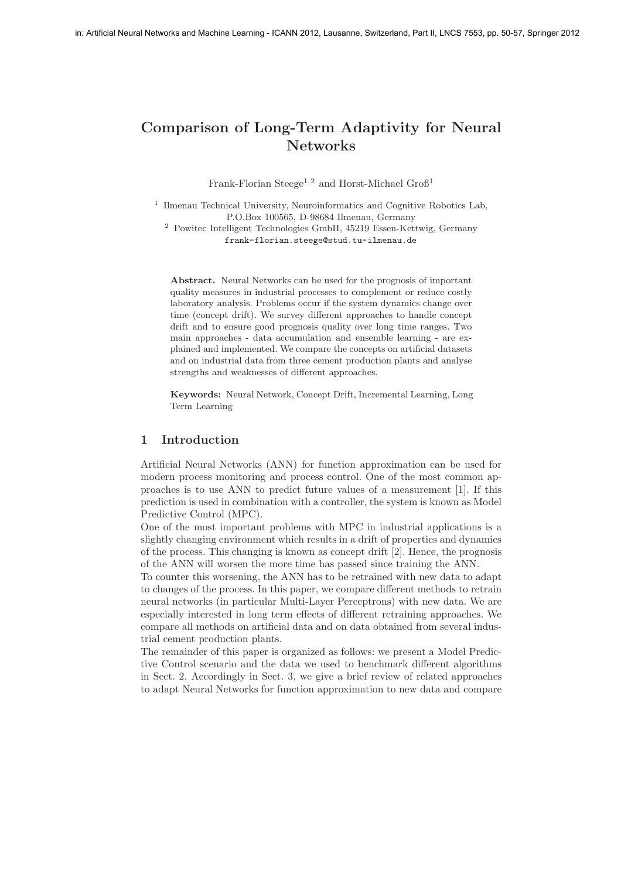# Comparison of Long-Term Adaptivity for Neural Networks

Frank-Florian Steege<sup>1,2</sup> and Horst-Michael  $\text{Groß}^1$ 

<sup>1</sup> Ilmenau Technical University, Neuroinformatics and Cognitive Robotics Lab, P.O.Box 100565, D-98684 Ilmenau, Germany

<sup>2</sup> Powitec Intelligent Technologies GmbH, 45219 Essen-Kettwig, Germany frank-florian.steege@stud.tu-ilmenau.de

Abstract. Neural Networks can be used for the prognosis of important quality measures in industrial processes to complement or reduce costly laboratory analysis. Problems occur if the system dynamics change over time (concept drift). We survey different approaches to handle concept drift and to ensure good prognosis quality over long time ranges. Two main approaches - data accumulation and ensemble learning - are explained and implemented. We compare the concepts on artificial datasets and on industrial data from three cement production plants and analyse strengths and weaknesses of different approaches.

Keywords: Neural Network, Concept Drift, Incremental Learning, Long Term Learning

# 1 Introduction

Artificial Neural Networks (ANN) for function approximation can be used for modern process monitoring and process control. One of the most common approaches is to use ANN to predict future values of a measurement [1]. If this prediction is used in combination with a controller, the system is known as Model Predictive Control (MPC).

One of the most important problems with MPC in industrial applications is a slightly changing environment which results in a drift of properties and dynamics of the process. This changing is known as concept drift [2]. Hence, the prognosis of the ANN will worsen the more time has passed since training the ANN.

To counter this worsening, the ANN has to be retrained with new data to adapt to changes of the process. In this paper, we compare different methods to retrain neural networks (in particular Multi-Layer Perceptrons) with new data. We are especially interested in long term effects of different retraining approaches. We compare all methods on artificial data and on data obtained from several industrial cement production plants.

The remainder of this paper is organized as follows: we present a Model Predictive Control scenario and the data we used to benchmark different algorithms in Sect. 2. Accordingly in Sect. 3, we give a brief review of related approaches to adapt Neural Networks for function approximation to new data and compare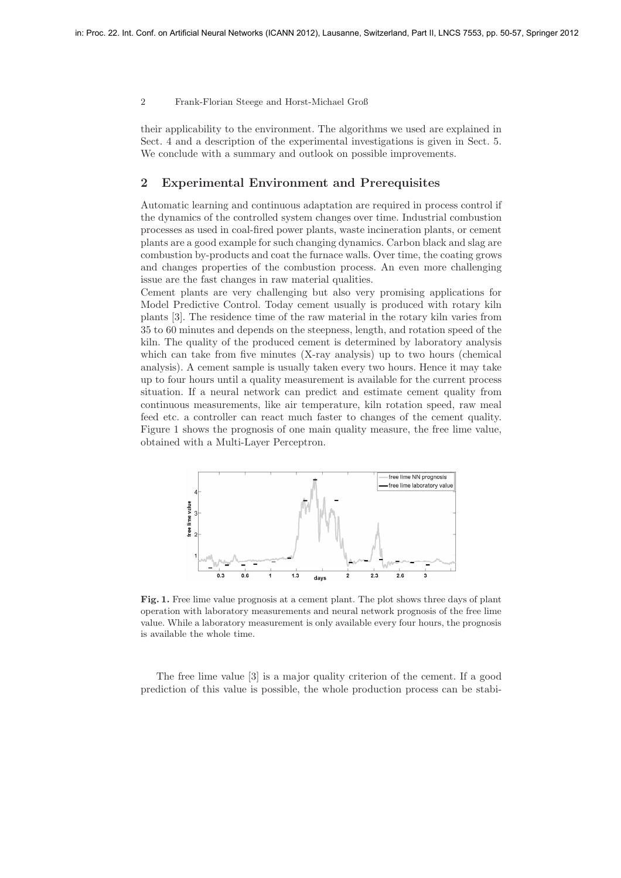their applicability to the environment. The algorithms we used are explained in Sect. 4 and a description of the experimental investigations is given in Sect. 5. We conclude with a summary and outlook on possible improvements.

## 2 Experimental Environment and Prerequisites

Automatic learning and continuous adaptation are required in process control if the dynamics of the controlled system changes over time. Industrial combustion processes as used in coal-fired power plants, waste incineration plants, or cement plants are a good example for such changing dynamics. Carbon black and slag are combustion by-products and coat the furnace walls. Over time, the coating grows and changes properties of the combustion process. An even more challenging issue are the fast changes in raw material qualities.

Cement plants are very challenging but also very promising applications for Model Predictive Control. Today cement usually is produced with rotary kiln plants [3]. The residence time of the raw material in the rotary kiln varies from 35 to 60 minutes and depends on the steepness, length, and rotation speed of the kiln. The quality of the produced cement is determined by laboratory analysis which can take from five minutes (X-ray analysis) up to two hours (chemical analysis). A cement sample is usually taken every two hours. Hence it may take up to four hours until a quality measurement is available for the current process situation. If a neural network can predict and estimate cement quality from continuous measurements, like air temperature, kiln rotation speed, raw meal feed etc. a controller can react much faster to changes of the cement quality. Figure 1 shows the prognosis of one main quality measure, the free lime value, obtained with a Multi-Layer Perceptron.



Fig. 1. Free lime value prognosis at a cement plant. The plot shows three days of plant operation with laboratory measurements and neural network prognosis of the free lime value. While a laboratory measurement is only available every four hours, the prognosis is available the whole time.

The free lime value [3] is a major quality criterion of the cement. If a good prediction of this value is possible, the whole production process can be stabi-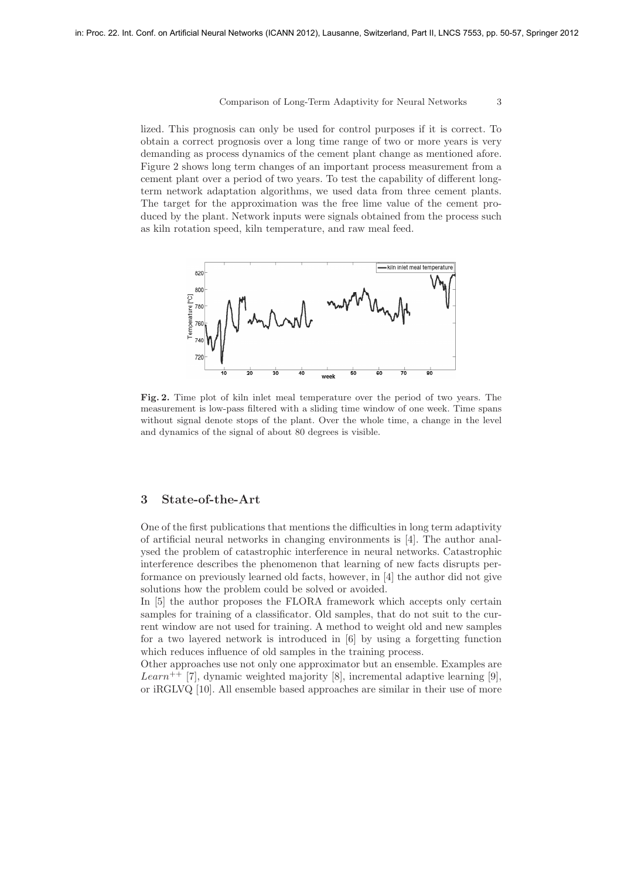#### Comparison of Long-Term Adaptivity for Neural Networks 3

lized. This prognosis can only be used for control purposes if it is correct. To obtain a correct prognosis over a long time range of two or more years is very demanding as process dynamics of the cement plant change as mentioned afore. Figure 2 shows long term changes of an important process measurement from a cement plant over a period of two years. To test the capability of different longterm network adaptation algorithms, we used data from three cement plants. The target for the approximation was the free lime value of the cement produced by the plant. Network inputs were signals obtained from the process such as kiln rotation speed, kiln temperature, and raw meal feed.



Fig. 2. Time plot of kiln inlet meal temperature over the period of two years. The measurement is low-pass filtered with a sliding time window of one week. Time spans without signal denote stops of the plant. Over the whole time, a change in the level and dynamics of the signal of about 80 degrees is visible.

## 3 State-of-the-Art

One of the first publications that mentions the difficulties in long term adaptivity of artificial neural networks in changing environments is [4]. The author analysed the problem of catastrophic interference in neural networks. Catastrophic interference describes the phenomenon that learning of new facts disrupts performance on previously learned old facts, however, in [4] the author did not give solutions how the problem could be solved or avoided.

In [5] the author proposes the FLORA framework which accepts only certain samples for training of a classificator. Old samples, that do not suit to the current window are not used for training. A method to weight old and new samples for a two layered network is introduced in [6] by using a forgetting function which reduces influence of old samples in the training process.

Other approaches use not only one approximator but an ensemble. Examples are Learn<sup>++</sup> [7], dynamic weighted majority [8], incremental adaptive learning [9], or iRGLVQ [10]. All ensemble based approaches are similar in their use of more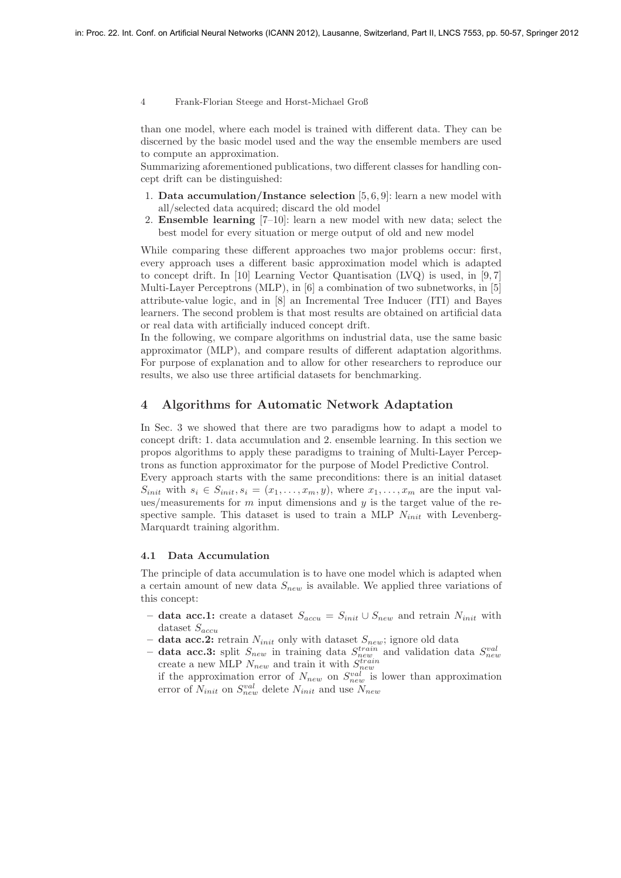than one model, where each model is trained with different data. They can be discerned by the basic model used and the way the ensemble members are used to compute an approximation.

Summarizing aforementioned publications, two different classes for handling concept drift can be distinguished:

- 1. Data accumulation/Instance selection  $[5, 6, 9]$ : learn a new model with all/selected data acquired; discard the old model
- 2. Ensemble learning [7–10]: learn a new model with new data; select the best model for every situation or merge output of old and new model

While comparing these different approaches two major problems occur: first, every approach uses a different basic approximation model which is adapted to concept drift. In [10] Learning Vector Quantisation (LVQ) is used, in [9, 7] Multi-Layer Perceptrons (MLP), in [6] a combination of two subnetworks, in [5] attribute-value logic, and in [8] an Incremental Tree Inducer (ITI) and Bayes learners. The second problem is that most results are obtained on artificial data or real data with artificially induced concept drift.

In the following, we compare algorithms on industrial data, use the same basic approximator (MLP), and compare results of different adaptation algorithms. For purpose of explanation and to allow for other researchers to reproduce our results, we also use three artificial datasets for benchmarking.

## 4 Algorithms for Automatic Network Adaptation

In Sec. 3 we showed that there are two paradigms how to adapt a model to concept drift: 1. data accumulation and 2. ensemble learning. In this section we propos algorithms to apply these paradigms to training of Multi-Layer Perceptrons as function approximator for the purpose of Model Predictive Control.

Every approach starts with the same preconditions: there is an initial dataset  $S_{init}$  with  $s_i \in S_{init}, s_i = (x_1, \ldots, x_m, y)$ , where  $x_1, \ldots, x_m$  are the input values/measurements for  $m$  input dimensions and  $y$  is the target value of the respective sample. This dataset is used to train a MLP  $N_{init}$  with Levenberg-Marquardt training algorithm.

#### 4.1 Data Accumulation

The principle of data accumulation is to have one model which is adapted when a certain amount of new data  $S_{new}$  is available. We applied three variations of this concept:

- data acc.1: create a dataset  $S_{accu} = S_{init} \cup S_{new}$  and retrain  $N_{init}$  with dataset  $S_{accu}$
- data acc.2: retrain  $N_{init}$  only with dataset  $S_{new}$ ; ignore old data
- data acc.3: split  $S_{new}$  in training data  $S_{new}^{train}$  and validation data  $S_{new}^{val}$  create a new MLP  $N_{new}$  and train it with  $S_{new}^{val}$  is lower than approximation if the approximation error of  $N_{new}$  on  $S_{new}^{val}$  is lowe
- error of  $N_{init}$  on  $S_{new}^{val}$  delete  $N_{init}$  and use  $N_{new}$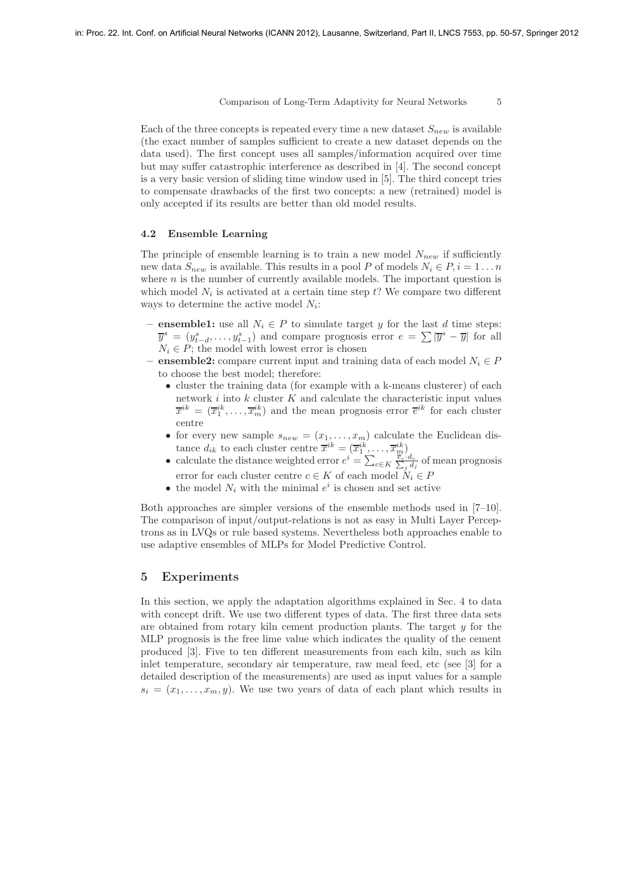Comparison of Long-Term Adaptivity for Neural Networks 5

Each of the three concepts is repeated every time a new dataset  $S_{new}$  is available (the exact number of samples sufficient to create a new dataset depends on the data used). The first concept uses all samples/information acquired over time but may suffer catastrophic interference as described in [4]. The second concept is a very basic version of sliding time window used in [5]. The third concept tries to compensate drawbacks of the first two concepts: a new (retrained) model is only accepted if its results are better than old model results.

#### 4.2 Ensemble Learning

The principle of ensemble learning is to train a new model  $N_{new}$  if sufficiently new data  $S_{new}$  is available. This results in a pool P of models  $N_i \in P, i = 1 \dots n$ where  $n$  is the number of currently available models. The important question is which model  $N_i$  is activated at a certain time step  $t$ ? We compare two different ways to determine the active model  $N_i$ :

- ensemble1: use all  $N_i \in P$  to simulate target y for the last d time steps:  $\overline{y}^s = (y^s_{t-d}, \ldots, y^s_{t-1})$  and compare prognosis error  $e = \sum |\overline{y}^s - \overline{y}|$  for all  $N_i \in P$ ; the model with lowest error is chosen
- **ensemble2:** compare current input and training data of each model  $N_i \in P$ to choose the best model; therefore:
	- cluster the training data (for example with a k-means clusterer) of each network  $i$  into  $k$  cluster  $K$  and calculate the characteristic input values  $\overline{x}^{ik} = (\overline{x}_1^{ik}, \ldots, \overline{x}_m^{ik})$  and the mean prognosis error  $\overline{e}^{ik}$  for each cluster centre
	- for every new sample  $s_{new} = (x_1, \ldots, x_m)$  calculate the Euclidean distance  $d_{ik}$  to each cluster centre  $\overline{x}^{ik} = (\overline{x}_1^{ik}, \ldots, \overline{x}_m^{ik})$
	- calculate the distance weighted error  $e^i = \sum_{c \in K} \frac{e_c \cdot d_c}{\sum_j d_j}$  of mean prognosis error for each cluster centre  $c \in K$  of each model  $N_i \in P$
	- the model  $N_i$  with the minimal  $e^i$  is chosen and set active

Both approaches are simpler versions of the ensemble methods used in [7–10]. The comparison of input/output-relations is not as easy in Multi Layer Perceptrons as in LVQs or rule based systems. Nevertheless both approaches enable to use adaptive ensembles of MLPs for Model Predictive Control.

## 5 Experiments

In this section, we apply the adaptation algorithms explained in Sec. 4 to data with concept drift. We use two different types of data. The first three data sets are obtained from rotary kiln cement production plants. The target  $y$  for the MLP prognosis is the free lime value which indicates the quality of the cement produced [3]. Five to ten different measurements from each kiln, such as kiln inlet temperature, secondary air temperature, raw meal feed, etc (see [3] for a detailed description of the measurements) are used as input values for a sample  $s_i = (x_1, \ldots, x_m, y)$ . We use two years of data of each plant which results in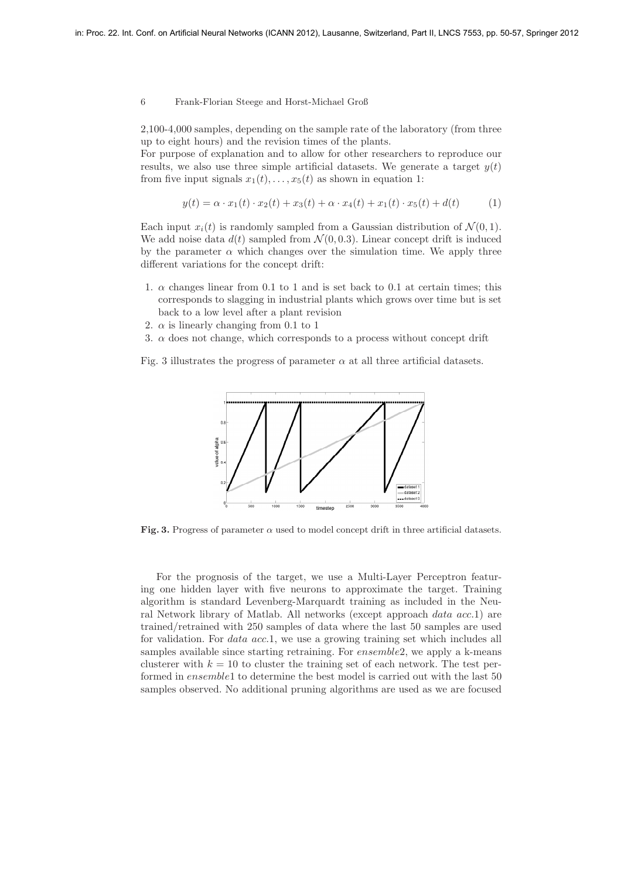2,100-4,000 samples, depending on the sample rate of the laboratory (from three up to eight hours) and the revision times of the plants.

For purpose of explanation and to allow for other researchers to reproduce our results, we also use three simple artificial datasets. We generate a target  $y(t)$ from five input signals  $x_1(t), \ldots, x_5(t)$  as shown in equation 1:

$$
y(t) = \alpha \cdot x_1(t) \cdot x_2(t) + x_3(t) + \alpha \cdot x_4(t) + x_1(t) \cdot x_5(t) + d(t)
$$
 (1)

Each input  $x_i(t)$  is randomly sampled from a Gaussian distribution of  $\mathcal{N}(0, 1)$ . We add noise data  $d(t)$  sampled from  $\mathcal{N}(0, 0.3)$ . Linear concept drift is induced by the parameter  $\alpha$  which changes over the simulation time. We apply three different variations for the concept drift:

- 1.  $\alpha$  changes linear from 0.1 to 1 and is set back to 0.1 at certain times; this corresponds to slagging in industrial plants which grows over time but is set back to a low level after a plant revision
- 2.  $\alpha$  is linearly changing from 0.1 to 1
- 3.  $\alpha$  does not change, which corresponds to a process without concept drift

Fig. 3 illustrates the progress of parameter  $\alpha$  at all three artificial datasets.



Fig. 3. Progress of parameter  $\alpha$  used to model concept drift in three artificial datasets.

For the prognosis of the target, we use a Multi-Layer Perceptron featuring one hidden layer with five neurons to approximate the target. Training algorithm is standard Levenberg-Marquardt training as included in the Neural Network library of Matlab. All networks (except approach data acc.1) are trained/retrained with 250 samples of data where the last 50 samples are used for validation. For *data acc.*1, we use a growing training set which includes all samples available since starting retraining. For *ensemble*2, we apply a k-means clusterer with  $k = 10$  to cluster the training set of each network. The test performed in ensemble1 to determine the best model is carried out with the last 50 samples observed. No additional pruning algorithms are used as we are focused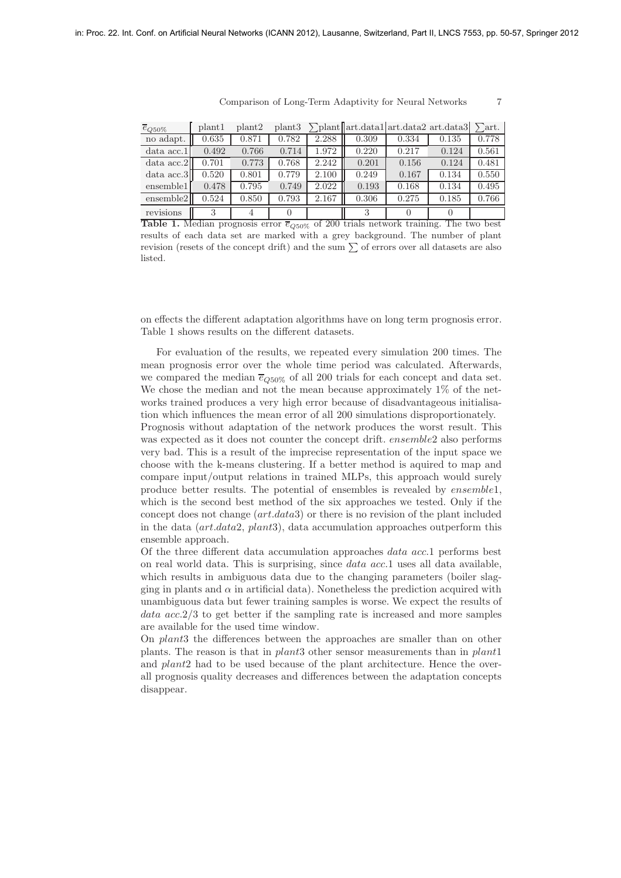| $\overline{e}_{Q50\%}$ | plant1 | plant2 | plant3 |       |       |       | $\Sigma$ plant    art.data1   art.data2   art.data3 | $\sum$ art. |
|------------------------|--------|--------|--------|-------|-------|-------|-----------------------------------------------------|-------------|
| no adapt.              | 0.635  | 0.871  | 0.782  | 2.288 | 0.309 | 0.334 | 0.135                                               | 0.778       |
| data acc.1             | 0.492  | 0.766  | 0.714  | 1.972 | 0.220 | 0.217 | 0.124                                               | 0.561       |
| data acc.2             | 0.701  | 0.773  | 0.768  | 2.242 | 0.201 | 0.156 | 0.124                                               | 0.481       |
| $data \tacc.3$         | 0.520  | 0.801  | 0.779  | 2.100 | 0.249 | 0.167 | 0.134                                               | 0.550       |
| ensemble1              | 0.478  | 0.795  | 0.749  | 2.022 | 0.193 | 0.168 | 0.134                                               | 0.495       |
| ensembed               | 0.524  | 0.850  | 0.793  | 2.167 | 0.306 | 0.275 | 0.185                                               | 0.766       |
| revisions              |        |        |        |       | 3     |       |                                                     |             |

Comparison of Long-Term Adaptivity for Neural Networks 7

**Table 1.** Median prognosis error  $\overline{e}_{\text{0.50%}}$  of 200 trials network training. The two best results of each data set are marked with a grey background. The number of plant revision (resets of the concept drift) and the sum  $\sum$  of errors over all datasets are also listed.

on effects the different adaptation algorithms have on long term prognosis error. Table 1 shows results on the different datasets.

For evaluation of the results, we repeated every simulation 200 times. The mean prognosis error over the whole time period was calculated. Afterwards, we compared the median  $\overline{e}_{\text{O50\%}}$  of all 200 trials for each concept and data set. We chose the median and not the mean because approximately 1% of the networks trained produces a very high error because of disadvantageous initialisation which influences the mean error of all 200 simulations disproportionately.

Prognosis without adaptation of the network produces the worst result. This was expected as it does not counter the concept drift. *ensemble*2 also performs very bad. This is a result of the imprecise representation of the input space we choose with the k-means clustering. If a better method is aquired to map and compare input/output relations in trained MLPs, this approach would surely produce better results. The potential of ensembles is revealed by ensemble1, which is the second best method of the six approaches we tested. Only if the concept does not change (art.data3) or there is no revision of the plant included in the data (art.data2, plant3), data accumulation approaches outperform this ensemble approach.

Of the three different data accumulation approaches data acc.1 performs best on real world data. This is surprising, since data acc.1 uses all data available, which results in ambiguous data due to the changing parameters (boiler slagging in plants and  $\alpha$  in artificial data). Nonetheless the prediction acquired with unambiguous data but fewer training samples is worse. We expect the results of data acc.2/3 to get better if the sampling rate is increased and more samples are available for the used time window.

On plant3 the differences between the approaches are smaller than on other plants. The reason is that in *plant*3 other sensor measurements than in *plant*1 and *plant*2 had to be used because of the plant architecture. Hence the overall prognosis quality decreases and differences between the adaptation concepts disappear.